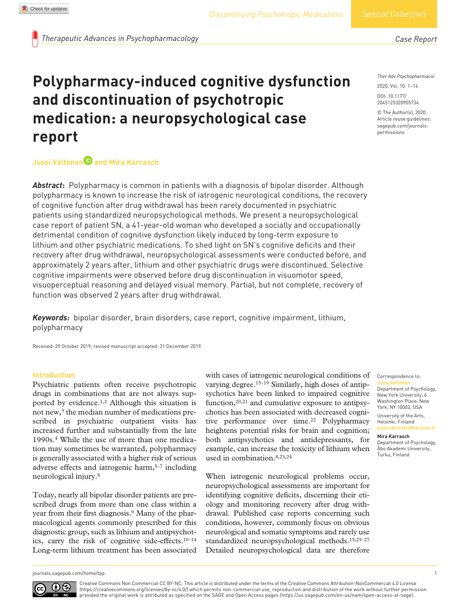*Therapeutic Advances in Psychopharmacology*

# **Polypharmacy-induced cognitive dysfunction and discontinuation of psychotropic medication: a neuropsychological case report**

## **Jussi Valtonen and Mira Karrasch**

*Abstract***:** Polypharmacy is common in patients with a diagnosis of bipolar disorder. Although polypharmacy is known to increase the risk of iatrogenic neurological conditions, the recovery of cognitive function after drug withdrawal has been rarely documented in psychiatric patients using standardized neuropsychological methods. We present a neuropsychological case report of patient SN, a 41-year-old woman who developed a socially and occupationally detrimental condition of cognitive dysfunction likely induced by long-term exposure to lithium and other psychiatric medications. To shed light on SN's cognitive deficits and their recovery after drug withdrawal, neuropsychological assessments were conducted before, and approximately 2 years after, lithium and other psychiatric drugs were discontinued. Selective cognitive impairments were observed before drug discontinuation in visuomotor speed, visuoperceptual reasoning and delayed visual memory. Partial, but not complete, recovery of function was observed 2 years after drug withdrawal.

*Keywords:* bipolar disorder, brain disorders, case report, cognitive impairment, lithium, polypharmacy

Received: 29 October 2019; revised manuscript accepted: 31 December 2019.

## **Introduction**

Psychiatric patients often receive psychotropic drugs in combinations that are not always supported by evidence.1,2 Although this situation is not new,3 the median number of medications prescribed in psychiatric outpatient visits has increased further and substantially from the late 1990s.4 While the use of more than one medication may sometimes be warranted, polypharmacy is generally associated with a higher risk of serious adverse effects and iatrogenic harm,5–7 including neurological injury.8

Today, nearly all bipolar disorder patients are prescribed drugs from more than one class within a year from their first diagnosis.9 Many of the pharmacological agents commonly prescribed for this diagnostic group, such as lithium and antipsychotics, carry the risk of cognitive side-effects.10–14 Long-term lithium treatment has been associated with cases of iatrogenic neurological conditions of varying degree.15–19 Similarly, high doses of antipsychotics have been linked to impaired cognitive function,20,21 and cumulative exposure to antipsychotics has been associated with decreased cognitive performance over time.<sup>22</sup> Polypharmacy heightens potential risks for brain and cognition; both antipsychotics and antidepressants, for example, can increase the toxicity of lithium when used in combination.8,23,24

When iatrogenic neurological problems occur, neuropsychological assessments are important for identifying cognitive deficits, discerning their etiology and monitoring recovery after drug withdrawal. Published case reports concerning such conditions, however, commonly focus on obvious neurological and somatic symptoms and rarely use standardized neuropsychological methods.15,25–27 Detailed neuropsychological data are therefore

*Ther Adv Psychopharmacol*

*Case Report*

DOI: 10.1177/ 2045125320905734 2020, Vol. 10: 1–14

© The Author(s), 2020. Article reuse guidelines: [sagepub.com/journals](https://uk.sagepub.com/en-gb/journals-permissions)[permissions](https://uk.sagepub.com/en-gb/journals-permissions)

Correspondence to: **Jussi Valtonen** Department of Psychology, New York University, 6 Washington Place, New York, NY 10003, USA

University of the Arts, Helsinki, Finland **[jussi.valtonen@helsinki.fi](mailto:jussi.valtonen@helsinki.fi)**

**Mira Karrasch**

Department of Psychology, Åbo Akademi University, Turku, Finland

[journals.sagepub.com/home/tpp](https://journals.sagepub.com/home/tpp) 1

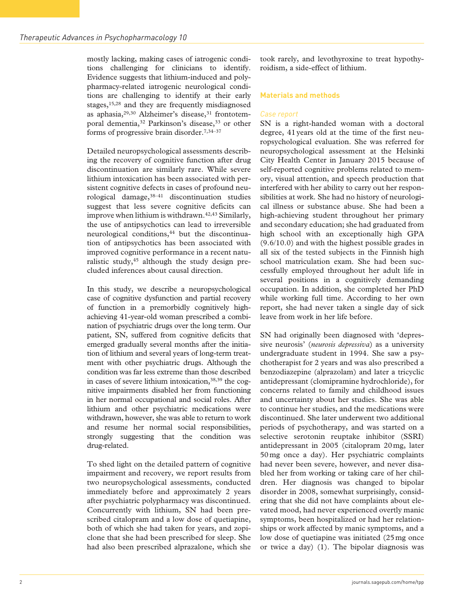mostly lacking, making cases of iatrogenic conditions challenging for clinicians to identify. Evidence suggests that lithium-induced and polypharmacy-related iatrogenic neurological conditions are challenging to identify at their early stages,15,28 and they are frequently misdiagnosed as aphasia,<sup>29,30</sup> Alzheimer's disease,<sup>31</sup> frontotemporal dementia,<sup>32</sup> Parkinson's disease,<sup>33</sup> or other forms of progressive brain disorder.7,34–37

Detailed neuropsychological assessments describing the recovery of cognitive function after drug discontinuation are similarly rare. While severe lithium intoxication has been associated with persistent cognitive defects in cases of profound neurological damage,  $38-41$  discontinuation studies suggest that less severe cognitive deficits can improve when lithium is withdrawn.<sup>42,43</sup> Similarly, the use of antipsychotics can lead to irreversible neurological conditions,<sup>44</sup> but the discontinuation of antipsychotics has been associated with improved cognitive performance in a recent naturalistic study, $45$  although the study design precluded inferences about causal direction.

In this study, we describe a neuropsychological case of cognitive dysfunction and partial recovery of function in a premorbidly cognitively highachieving 41-year-old woman prescribed a combination of psychiatric drugs over the long term. Our patient, SN, suffered from cognitive deficits that emerged gradually several months after the initiation of lithium and several years of long-term treatment with other psychiatric drugs. Although the condition was far less extreme than those described in cases of severe lithium intoxication,38,39 the cognitive impairments disabled her from functioning in her normal occupational and social roles. After lithium and other psychiatric medications were withdrawn, however, she was able to return to work and resume her normal social responsibilities, strongly suggesting that the condition was drug-related.

To shed light on the detailed pattern of cognitive impairment and recovery, we report results from two neuropsychological assessments, conducted immediately before and approximately 2 years after psychiatric polypharmacy was discontinued. Concurrently with lithium, SN had been prescribed citalopram and a low dose of quetiapine, both of which she had taken for years, and zopiclone that she had been prescribed for sleep. She had also been prescribed alprazalone, which she took rarely, and levothyroxine to treat hypothyroidism, a side-effect of lithium.

## **Materials and methods**

## *Case report*

SN is a right-handed woman with a doctoral degree, 41years old at the time of the first neuropsychological evaluation. She was referred for neuropsychological assessment at the Helsinki City Health Center in January 2015 because of self-reported cognitive problems related to memory, visual attention, and speech production that interfered with her ability to carry out her responsibilities at work. She had no history of neurological illness or substance abuse. She had been a high-achieving student throughout her primary and secondary education; she had graduated from high school with an exceptionally high GPA (9.6/10.0) and with the highest possible grades in all six of the tested subjects in the Finnish high school matriculation exam. She had been successfully employed throughout her adult life in several positions in a cognitively demanding occupation. In addition, she completed her PhD while working full time. According to her own report, she had never taken a single day of sick leave from work in her life before.

SN had originally been diagnosed with 'depressive neurosis' (*neurosis depressiva*) as a university undergraduate student in 1994. She saw a psychotherapist for 2 years and was also prescribed a benzodiazepine (alprazolam) and later a tricyclic antidepressant (clomipramine hydrochloride), for concerns related to family and childhood issues and uncertainty about her studies. She was able to continue her studies, and the medications were discontinued. She later underwent two additional periods of psychotherapy, and was started on a selective serotonin reuptake inhibitor (SSRI) antidepressant in 2005 (citalopram 20mg, later 50mg once a day). Her psychiatric complaints had never been severe, however, and never disabled her from working or taking care of her children. Her diagnosis was changed to bipolar disorder in 2008, somewhat surprisingly, considering that she did not have complaints about elevated mood, had never experienced overtly manic symptoms, been hospitalized or had her relationships or work affected by manic symptoms, and a low dose of quetiapine was initiated (25mg once or twice a day) (1). The bipolar diagnosis was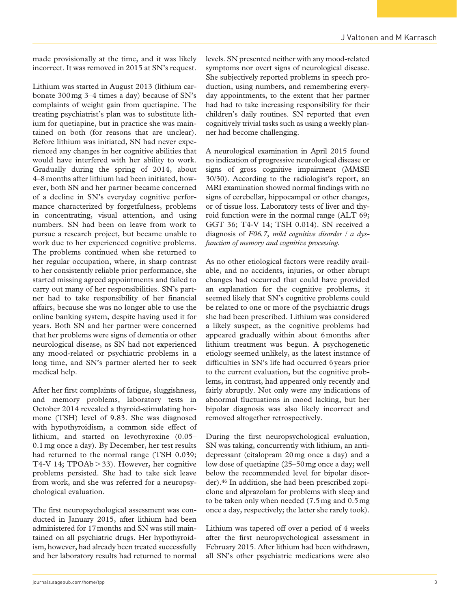made provisionally at the time, and it was likely incorrect. It was removed in 2015 at SN's request.

Lithium was started in August 2013 (lithium carbonate 300mg 3–4 times a day) because of SN's complaints of weight gain from quetiapine. The treating psychiatrist's plan was to substitute lithium for quetiapine, but in practice she was maintained on both (for reasons that are unclear). Before lithium was initiated, SN had never experienced any changes in her cognitive abilities that would have interfered with her ability to work. Gradually during the spring of 2014, about 4–8months after lithium had been initiated, however, both SN and her partner became concerned of a decline in SN's everyday cognitive performance characterized by forgetfulness, problems in concentrating, visual attention, and using numbers. SN had been on leave from work to pursue a research project, but became unable to work due to her experienced cognitive problems. The problems continued when she returned to her regular occupation, where, in sharp contrast to her consistently reliable prior performance, she started missing agreed appointments and failed to carry out many of her responsibilities. SN's partner had to take responsibility of her financial affairs, because she was no longer able to use the online banking system, despite having used it for years. Both SN and her partner were concerned that her problems were signs of dementia or other neurological disease, as SN had not experienced any mood-related or psychiatric problems in a long time, and SN's partner alerted her to seek medical help.

After her first complaints of fatigue, sluggishness, and memory problems, laboratory tests in October 2014 revealed a thyroid-stimulating hormone (TSH) level of 9.83. She was diagnosed with hypothyroidism, a common side effect of lithium, and started on levothyroxine (0.05– 0.1mg once a day). By December, her test results had returned to the normal range (TSH 0.039; T4-V 14; TPOAb>33). However, her cognitive problems persisted. She had to take sick leave from work, and she was referred for a neuropsychological evaluation.

The first neuropsychological assessment was conducted in January 2015, after lithium had been administered for 17months and SN was still maintained on all psychiatric drugs. Her hypothyroidism, however, had already been treated successfully and her laboratory results had returned to normal levels. SN presented neither with any mood-related symptoms nor overt signs of neurological disease. She subjectively reported problems in speech production, using numbers, and remembering everyday appointments, to the extent that her partner had had to take increasing responsibility for their children's daily routines. SN reported that even cognitively trivial tasks such as using a weekly planner had become challenging.

A neurological examination in April 2015 found no indication of progressive neurological disease or signs of gross cognitive impairment (MMSE 30/30). According to the radiologist's report, an MRI examination showed normal findings with no signs of cerebellar, hippocampal or other changes, or of tissue loss. Laboratory tests of liver and thyroid function were in the normal range (ALT 69; GGT 36; T4-V 14; TSH 0.014). SN received a diagnosis of *F06.7, mild cognitive disorder / a dysfunction of memory and cognitive processing.*

As no other etiological factors were readily available, and no accidents, injuries, or other abrupt changes had occurred that could have provided an explanation for the cognitive problems, it seemed likely that SN's cognitive problems could be related to one or more of the psychiatric drugs she had been prescribed. Lithium was considered a likely suspect, as the cognitive problems had appeared gradually within about 6months after lithium treatment was begun. A psychogenetic etiology seemed unlikely, as the latest instance of difficulties in SN's life had occurred 6years prior to the current evaluation, but the cognitive problems, in contrast, had appeared only recently and fairly abruptly. Not only were any indications of abnormal fluctuations in mood lacking, but her bipolar diagnosis was also likely incorrect and removed altogether retrospectively.

During the first neuropsychological evaluation, SN was taking, concurrently with lithium, an antidepressant (citalopram 20mg once a day) and a low dose of quetiapine (25–50mg once a day; well below the recommended level for bipolar disorder).46 In addition, she had been prescribed zopiclone and alprazolam for problems with sleep and to be taken only when needed (7.5mg and 0.5mg once a day, respectively; the latter she rarely took).

Lithium was tapered off over a period of 4 weeks after the first neuropsychological assessment in February 2015. After lithium had been withdrawn, all SN's other psychiatric medications were also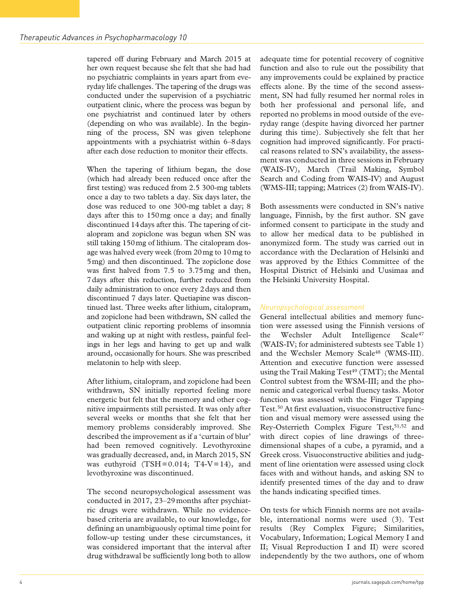tapered off during February and March 2015 at her own request because she felt that she had had no psychiatric complaints in years apart from everyday life challenges. The tapering of the drugs was conducted under the supervision of a psychiatric outpatient clinic, where the process was begun by one psychiatrist and continued later by others (depending on who was available). In the beginning of the process, SN was given telephone appointments with a psychiatrist within 6–8days after each dose reduction to monitor their effects.

When the tapering of lithium began, the dose (which had already been reduced once after the first testing) was reduced from 2.5 300-mg tablets once a day to two tablets a day. Six days later, the dose was reduced to one 300-mg tablet a day; 8 days after this to 150mg once a day; and finally discontinued 14days after this. The tapering of citalopram and zopiclone was begun when SN was still taking 150mg of lithium. The citalopram dosage was halved every week (from 20mg to 10mg to 5mg) and then discontinued. The zopiclone dose was first halved from 7.5 to 3.75mg and then, 7days after this reduction, further reduced from daily administration to once every 2days and then discontinued 7 days later. Quetiapine was discontinued last. Three weeks after lithium, citalopram, and zopiclone had been withdrawn, SN called the outpatient clinic reporting problems of insomnia and waking up at night with restless, painful feelings in her legs and having to get up and walk around, occasionally for hours. She was prescribed melatonin to help with sleep.

After lithium, citalopram, and zopiclone had been withdrawn, SN initially reported feeling more energetic but felt that the memory and other cognitive impairments still persisted. It was only after several weeks or months that she felt that her memory problems considerably improved. She described the improvement as if a 'curtain of blur' had been removed cognitively. Levothyroxine was gradually decreased, and, in March 2015, SN was euthyroid  $(TSH = 0.014; T4-V = 14)$ , and levothyroxine was discontinued.

The second neuropsychological assessment was conducted in 2017, 23–29months after psychiatric drugs were withdrawn. While no evidencebased criteria are available, to our knowledge, for defining an unambiguously optimal time point for follow-up testing under these circumstances, it was considered important that the interval after drug withdrawal be sufficiently long both to allow adequate time for potential recovery of cognitive function and also to rule out the possibility that any improvements could be explained by practice effects alone. By the time of the second assessment, SN had fully resumed her normal roles in both her professional and personal life, and reported no problems in mood outside of the everyday range (despite having divorced her partner during this time). Subjectively she felt that her cognition had improved significantly. For practical reasons related to SN's availability, the assessment was conducted in three sessions in February (WAIS-IV), March (Trail Making, Symbol Search and Coding from WAIS-IV) and August (WMS-III; tapping; Matrices (2) from WAIS-IV).

Both assessments were conducted in SN's native language, Finnish, by the first author. SN gave informed consent to participate in the study and to allow her medical data to be published in anonymized form. The study was carried out in accordance with the Declaration of Helsinki and was approved by the Ethics Committee of the Hospital District of Helsinki and Uusimaa and the Helsinki University Hospital.

## *Neuropsychological assessment*

General intellectual abilities and memory function were assessed using the Finnish versions of the Wechsler Adult Intelligence Scale<sup>47</sup> (WAIS-IV; for administered subtests see Table 1) and the Wechsler Memory Scale<sup>48</sup> (WMS-III). Attention and executive function were assessed using the Trail Making Test<sup>49</sup> (TMT); the Mental Control subtest from the WSM-III; and the phonemic and categorical verbal fluency tasks. Motor function was assessed with the Finger Tapping Test.50 At first evaluation, visuoconstructive function and visual memory were assessed using the Rey-Osterrieth Complex Figure Test,<sup>51,52</sup> and with direct copies of line drawings of threedimensional shapes of a cube, a pyramid, and a Greek cross. Visuoconstructive abilities and judgment of line orientation were assessed using clock faces with and without hands, and asking SN to identify presented times of the day and to draw the hands indicating specified times.

On tests for which Finnish norms are not available, international norms were used (3). Test results (Rey Complex Figure; Similarities, Vocabulary, Information; Logical Memory I and II; Visual Reproduction I and II) were scored independently by the two authors, one of whom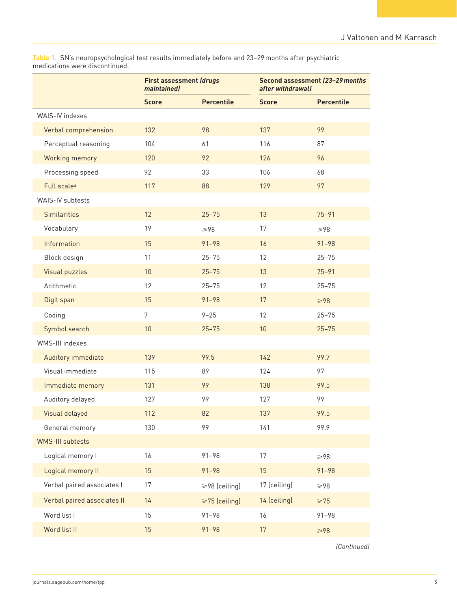**Table 1.** SN's neuropsychological test results immediately before and 23–29months after psychiatric medications were discontinued.

|                             | <b>First assessment (drugs)</b><br>maintained) |                     | Second assessment (23-29 months)<br>after withdrawal) |                   |  |
|-----------------------------|------------------------------------------------|---------------------|-------------------------------------------------------|-------------------|--|
|                             | <b>Score</b>                                   | <b>Percentile</b>   | <b>Score</b>                                          | <b>Percentile</b> |  |
| WAIS-IV indexes             |                                                |                     |                                                       |                   |  |
| Verbal comprehension        | 132                                            | 98                  | 137                                                   | 99                |  |
| Perceptual reasoning        | 104                                            | 61                  | 116                                                   | 87                |  |
| Working memory              | 120                                            | 92                  | 126                                                   | 96                |  |
| Processing speed            | 92                                             | 33                  | 106                                                   | 68                |  |
| Full scale <sup>a</sup>     | 117                                            | 88                  | 129                                                   | 97                |  |
| WAIS-IV subtests            |                                                |                     |                                                       |                   |  |
| <b>Similarities</b>         | 12                                             | $25 - 75$           | 13                                                    | $75 - 91$         |  |
| Vocabulary                  | 19                                             | $\geqslant$ 98      | 17                                                    | $\geqslant$ 98    |  |
| Information                 | 15                                             | $91 - 98$           | 16                                                    | $91 - 98$         |  |
| Block design                | 11                                             | $25 - 75$           | 12                                                    | $25 - 75$         |  |
| <b>Visual puzzles</b>       | 10                                             | $25 - 75$           | 13                                                    | $75 - 91$         |  |
| Arithmetic                  | 12                                             | $25 - 75$           | 12                                                    | $25 - 75$         |  |
| Digit span                  | 15                                             | $91 - 98$           | 17                                                    | $\geqslant$ 98    |  |
| Coding                      | $\overline{7}$                                 | $9 - 25$            | 12                                                    | $25 - 75$         |  |
| Symbol search               | 10                                             | $25 - 75$           | 10                                                    | $25 - 75$         |  |
| WMS-III indexes             |                                                |                     |                                                       |                   |  |
| Auditory immediate          | 139                                            | 99.5                | 142                                                   | 99.7              |  |
| Visual immediate            | 115                                            | 89                  | 124                                                   | 97                |  |
| Immediate memory            | 131                                            | 99                  | 138                                                   | 99.5              |  |
| Auditory delayed            | 127                                            | 99                  | 127                                                   | 99                |  |
| Visual delayed              | 112                                            | 82                  | 137                                                   | 99.5              |  |
| General memory              | 130                                            | 99                  | 141                                                   | 99.9              |  |
| <b>WMS-III subtests</b>     |                                                |                     |                                                       |                   |  |
| Logical memory I            | 16                                             | $91 - 98$           | 17                                                    | $\geqslant$ 98    |  |
| Logical memory II           | 15                                             | $91 - 98$           | 15                                                    | $91 - 98$         |  |
| Verbal paired associates I  | 17                                             | ≥98 (ceiling)       | 17 (ceiling)                                          | $\geqslant$ 98    |  |
| Verbal paired associates II | 14                                             | $\geq 75$ (ceiling) | 14 (ceiling)                                          | $\geq 75$         |  |
| Word list I                 | 15                                             | $91 - 98$           | 16                                                    | $91 - 98$         |  |
| Word list II                | 15                                             | $91 - 98$           | 17                                                    | $\geqslant$ 98    |  |

*(Continued)*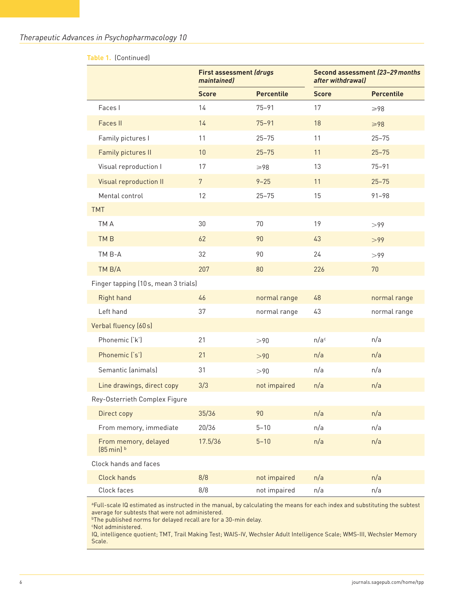## *Therapeutic Advances in Psychopharmacology 10*

| Table 1. (Continued)                        |                 |                                |                  |                                                      |  |  |
|---------------------------------------------|-----------------|--------------------------------|------------------|------------------------------------------------------|--|--|
|                                             | maintained)     | <b>First assessment (drugs</b> |                  | Second assessment (23-29 months<br>after withdrawal) |  |  |
|                                             | <b>Score</b>    | <b>Percentile</b>              | <b>Score</b>     | <b>Percentile</b>                                    |  |  |
| Faces I                                     | 14              | $75 - 91$                      | 17               | $\geqslant$ 98                                       |  |  |
| <b>Faces II</b>                             | 14              | $75 - 91$                      | 18               | $\geqslant$ 98                                       |  |  |
| Family pictures I                           | 11              | $25 - 75$                      | 11               | $25 - 75$                                            |  |  |
| Family pictures II                          | 10              | $25 - 75$                      | 11               | $25 - 75$                                            |  |  |
| Visual reproduction I                       | 17              | $\geqslant$ 98                 | 13               | $75 - 91$                                            |  |  |
| Visual reproduction II                      | $7\overline{ }$ | $9 - 25$                       | 11               | $25 - 75$                                            |  |  |
| Mental control                              | 12              | $25 - 75$                      | 15               | $91 - 98$                                            |  |  |
| <b>TMT</b>                                  |                 |                                |                  |                                                      |  |  |
| TM A                                        | 30              | 70                             | 19               | >99                                                  |  |  |
| TM <sub>B</sub>                             | 62              | 90                             | 43               | >99                                                  |  |  |
| TM B-A                                      | 32              | 90                             | 24               | >99                                                  |  |  |
| TM B/A                                      | 207             | 80                             | 226              | 70                                                   |  |  |
| Finger tapping (10s, mean 3 trials)         |                 |                                |                  |                                                      |  |  |
| <b>Right hand</b>                           | 46              | normal range                   | 48               | normal range                                         |  |  |
| Left hand                                   | 37              | normal range                   | 43               | normal range                                         |  |  |
| Verbal fluency (60s)                        |                 |                                |                  |                                                      |  |  |
| Phonemic ('k')                              | 21              | >90                            | n/a <sup>c</sup> | n/a                                                  |  |  |
| Phonemic ('s')                              | 21              | >90                            | n/a              | n/a                                                  |  |  |
| Semantic (animals)                          | 31              | >90                            | n/a              | n/a                                                  |  |  |
| Line drawings, direct copy                  | 3/3             | not impaired                   | n/a              | n/a                                                  |  |  |
| Rey-Osterrieth Complex Figure               |                 |                                |                  |                                                      |  |  |
| Direct copy                                 | 35/36           | 90                             | n/a              | n/a                                                  |  |  |
| From memory, immediate                      | 20/36           | $5 - 10$                       | n/a              | n/a                                                  |  |  |
| From memory, delayed<br>$(85 \text{min})$ b | 17.5/36         | $5 - 10$                       | n/a              | n/a                                                  |  |  |
| Clock hands and faces                       |                 |                                |                  |                                                      |  |  |
| <b>Clock hands</b>                          | 8/8             | not impaired                   | n/a              | n/a                                                  |  |  |
| Clock faces                                 | 8/8             | not impaired                   | n/a              | n/a                                                  |  |  |

aFull-scale IQ estimated as instructed in the manual, by calculating the means for each index and substituting the subtest average for subtests that were not administered.

bThe published norms for delayed recall are for a 30-min delay.

cNot administered.

IQ, intelligence quotient; TMT, Trail Making Test; WAIS-IV, Wechsler Adult Intelligence Scale; WMS-III, Wechsler Memory Scale.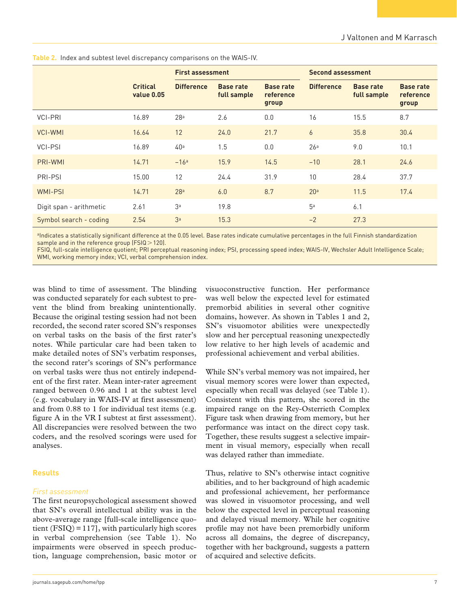|                         |                               | <b>First assessment</b> |                                 | <b>Second assessment</b>               |                   |                                 |                                        |
|-------------------------|-------------------------------|-------------------------|---------------------------------|----------------------------------------|-------------------|---------------------------------|----------------------------------------|
|                         | <b>Critical</b><br>value 0.05 | <b>Difference</b>       | <b>Base rate</b><br>full sample | <b>Base rate</b><br>reference<br>group | <b>Difference</b> | <b>Base rate</b><br>full sample | <b>Base rate</b><br>reference<br>group |
| <b>VCI-PRI</b>          | 16.89                         | 28 <sup>a</sup>         | 2.6                             | 0.0                                    | 16                | 15.5                            | 8.7                                    |
| <b>VCI-WMI</b>          | 16.64                         | 12                      | 24.0                            | 21.7                                   | $\overline{6}$    | 35.8                            | 30.4                                   |
| VCI-PSI                 | 16.89                         | 40 <sup>a</sup>         | 1.5                             | 0.0                                    | 26 <sup>a</sup>   | 9.0                             | 10.1                                   |
| PRI-WMI                 | 14.71                         | $-16a$                  | 15.9                            | 14.5                                   | $-10$             | 28.1                            | 24.6                                   |
| PRI-PSI                 | 15.00                         | 12                      | 24.4                            | 31.9                                   | 10                | 28.4                            | 37.7                                   |
| <b>WMI-PSI</b>          | 14.71                         | 28 <sup>a</sup>         | 6.0                             | 8.7                                    | 20 <sup>a</sup>   | 11.5                            | 17.4                                   |
| Digit span - arithmetic | 2.61                          | 3 <sup>a</sup>          | 19.8                            |                                        | 5 <sup>a</sup>    | 6.1                             |                                        |
| Symbol search - coding  | 2.54                          | 3 <sup>a</sup>          | 15.3                            |                                        | $-2$              | 27.3                            |                                        |

**Table 2.** Index and subtest level discrepancy comparisons on the WAIS-IV.

aIndicates a statistically significant difference at the 0.05 level. Base rates indicate cumulative percentages in the full Finnish standardization sample and in the reference group (FSIQ > 120).

FSIQ, full-scale intelligence quotient; PRI perceptual reasoning index; PSI, processing speed index; WAIS-IV, Wechsler Adult Intelligence Scale; WMI, working memory index; VCI, verbal comprehension index.

was blind to time of assessment. The blinding was conducted separately for each subtest to prevent the blind from breaking unintentionally. Because the original testing session had not been recorded, the second rater scored SN's responses on verbal tasks on the basis of the first rater's notes. While particular care had been taken to make detailed notes of SN's verbatim responses, the second rater's scorings of SN's performance on verbal tasks were thus not entirely independent of the first rater. Mean inter-rater agreement ranged between 0.96 and 1 at the subtest level (e.g. vocabulary in WAIS-IV at first assessment) and from 0.88 to 1 for individual test items (e.g. figure A in the VR I subtest at first assessment). All discrepancies were resolved between the two coders, and the resolved scorings were used for analyses.

#### **Results**

#### *First assessment*

The first neuropsychological assessment showed that SN's overall intellectual ability was in the above-average range [full-scale intelligence quotient  $(FSIQ) = 117$ , with particularly high scores in verbal comprehension (see Table 1). No impairments were observed in speech production, language comprehension, basic motor or visuoconstructive function. Her performance was well below the expected level for estimated premorbid abilities in several other cognitive domains, however. As shown in Tables 1 and 2, SN's visuomotor abilities were unexpectedly slow and her perceptual reasoning unexpectedly low relative to her high levels of academic and professional achievement and verbal abilities.

While SN's verbal memory was not impaired, her visual memory scores were lower than expected, especially when recall was delayed (see Table 1). Consistent with this pattern, she scored in the impaired range on the Rey-Osterrieth Complex Figure task when drawing from memory, but her performance was intact on the direct copy task. Together, these results suggest a selective impairment in visual memory, especially when recall was delayed rather than immediate.

Thus, relative to SN's otherwise intact cognitive abilities, and to her background of high academic and professional achievement, her performance was slowed in visuomotor processing, and well below the expected level in perceptual reasoning and delayed visual memory. While her cognitive profile may not have been premorbidly uniform across all domains, the degree of discrepancy, together with her background, suggests a pattern of acquired and selective deficits.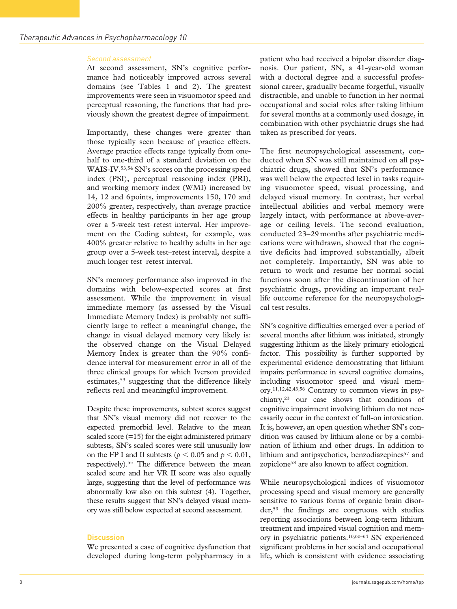#### *Second assessment*

At second assessment, SN's cognitive performance had noticeably improved across several domains (see Tables 1 and 2). The greatest improvements were seen in visuomotor speed and perceptual reasoning, the functions that had previously shown the greatest degree of impairment.

Importantly, these changes were greater than those typically seen because of practice effects. Average practice effects range typically from onehalf to one-third of a standard deviation on the WAIS-IV.<sup>53,54</sup> SN's scores on the processing speed index (PSI), perceptual reasoning index (PRI), and working memory index (WMI) increased by 14, 12 and 6points, improvements 150, 170 and 200% greater, respectively, than average practice effects in healthy participants in her age group over a 5-week test–retest interval. Her improvement on the Coding subtest, for example, was 400% greater relative to healthy adults in her age group over a 5-week test–retest interval, despite a much longer test–retest interval.

SN's memory performance also improved in the domains with below-expected scores at first assessment. While the improvement in visual immediate memory (as assessed by the Visual Immediate Memory Index) is probably not sufficiently large to reflect a meaningful change, the change in visual delayed memory very likely is: the observed change on the Visual Delayed Memory Index is greater than the 90% confidence interval for measurement error in all of the three clinical groups for which Iverson provided estimates,<sup>53</sup> suggesting that the difference likely reflects real and meaningful improvement.

Despite these improvements, subtest scores suggest that SN's visual memory did not recover to the expected premorbid level. Relative to the mean scaled score (=15) for the eight administered primary subtests, SN's scaled scores were still unusually low on the FP I and II subtests ( $p < 0.05$  and  $p < 0.01$ , respectively).55 The difference between the mean scaled score and her VR II score was also equally large, suggesting that the level of performance was abnormally low also on this subtest (4). Together, these results suggest that SN's delayed visual memory was still below expected at second assessment.

#### **Discussion**

We presented a case of cognitive dysfunction that developed during long-term polypharmacy in a patient who had received a bipolar disorder diagnosis. Our patient, SN, a 41-year-old woman with a doctoral degree and a successful professional career, gradually became forgetful, visually distractible, and unable to function in her normal occupational and social roles after taking lithium for several months at a commonly used dosage, in combination with other psychiatric drugs she had taken as prescribed for years.

The first neuropsychological assessment, conducted when SN was still maintained on all psychiatric drugs, showed that SN's performance was well below the expected level in tasks requiring visuomotor speed, visual processing, and delayed visual memory. In contrast, her verbal intellectual abilities and verbal memory were largely intact, with performance at above-average or ceiling levels. The second evaluation, conducted 23–29 months after psychiatric medications were withdrawn, showed that the cognitive deficits had improved substantially, albeit not completely. Importantly, SN was able to return to work and resume her normal social functions soon after the discontinuation of her psychiatric drugs, providing an important reallife outcome reference for the neuropsychological test results.

SN's cognitive difficulties emerged over a period of several months after lithium was initiated, strongly suggesting lithium as the likely primary etiological factor. This possibility is further supported by experimental evidence demonstrating that lithium impairs performance in several cognitive domains, including visuomotor speed and visual memory.11,12,42,43,56 Contrary to common views in psychiatry,23 our case shows that conditions of cognitive impairment involving lithium do not necessarily occur in the context of full-on intoxication. It is, however, an open question whether SN's condition was caused by lithium alone or by a combination of lithium and other drugs. In addition to lithium and antipsychotics, benzodiazepines<sup>57</sup> and zopiclone<sup>58</sup> are also known to affect cognition.

While neuropsychological indices of visuomotor processing speed and visual memory are generally sensitive to various forms of organic brain disorder,59 the findings are congruous with studies reporting associations between long-term lithium treatment and impaired visual cognition and memory in psychiatric patients.10,60–64 SN experienced significant problems in her social and occupational life, which is consistent with evidence associating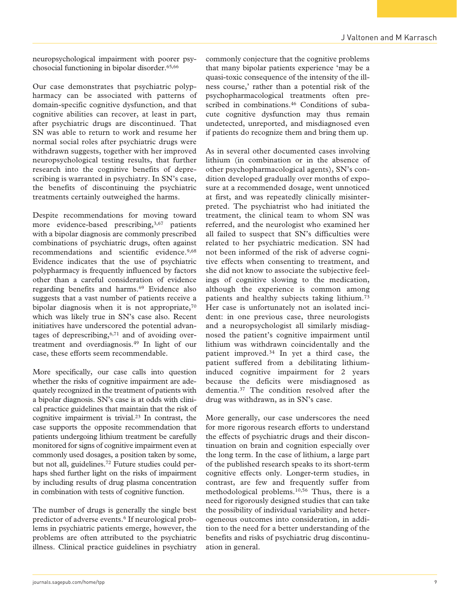neuropsychological impairment with poorer psychosocial functioning in bipolar disorder.65,66

Our case demonstrates that psychiatric polypharmacy can be associated with patterns of domain-specific cognitive dysfunction, and that cognitive abilities can recover, at least in part, after psychiatric drugs are discontinued. That SN was able to return to work and resume her normal social roles after psychiatric drugs were withdrawn suggests, together with her improved neuropsychological testing results, that further research into the cognitive benefits of deprescribing is warranted in psychiatry. In SN's case, the benefits of discontinuing the psychiatric treatments certainly outweighed the harms.

Despite recommendations for moving toward more evidence-based prescribing,<sup>3,67</sup> patients with a bipolar diagnosis are commonly prescribed combinations of psychiatric drugs, often against recommendations and scientific evidence.<sup>9,68</sup> Evidence indicates that the use of psychiatric polypharmacy is frequently influenced by factors other than a careful consideration of evidence regarding benefits and harms.<sup>69</sup> Evidence also suggests that a vast number of patients receive a bipolar diagnosis when it is not appropriate, $70$ which was likely true in SN's case also. Recent initiatives have underscored the potential advantages of deprescribing, $6,71$  and of avoiding overtreatment and overdiagnosis.49 In light of our case, these efforts seem recommendable.

More specifically, our case calls into question whether the risks of cognitive impairment are adequately recognized in the treatment of patients with a bipolar diagnosis. SN's case is at odds with clinical practice guidelines that maintain that the risk of cognitive impairment is trivial.23 In contrast, the case supports the opposite recommendation that patients undergoing lithium treatment be carefully monitored for signs of cognitive impairment even at commonly used dosages, a position taken by some, but not all, guidelines.72 Future studies could perhaps shed further light on the risks of impairment by including results of drug plasma concentration in combination with tests of cognitive function.

The number of drugs is generally the single best predictor of adverse events.<sup>6</sup> If neurological problems in psychiatric patients emerge, however, the problems are often attributed to the psychiatric illness. Clinical practice guidelines in psychiatry commonly conjecture that the cognitive problems that many bipolar patients experience 'may be a quasi-toxic consequence of the intensity of the illness course,' rather than a potential risk of the psychopharmacological treatments often prescribed in combinations.<sup>46</sup> Conditions of subacute cognitive dysfunction may thus remain undetected, unreported, and misdiagnosed even if patients do recognize them and bring them up.

As in several other documented cases involving lithium (in combination or in the absence of other psychopharmacological agents), SN's condition developed gradually over months of exposure at a recommended dosage, went unnoticed at first, and was repeatedly clinically misinterpreted. The psychiatrist who had initiated the treatment, the clinical team to whom SN was referred, and the neurologist who examined her all failed to suspect that SN's difficulties were related to her psychiatric medication. SN had not been informed of the risk of adverse cognitive effects when consenting to treatment, and she did not know to associate the subjective feelings of cognitive slowing to the medication, although the experience is common among patients and healthy subjects taking lithium.73 Her case is unfortunately not an isolated incident: in one previous case, three neurologists and a neuropsychologist all similarly misdiagnosed the patient's cognitive impairment until lithium was withdrawn coincidentally and the patient improved.34 In yet a third case, the patient suffered from a debilitating lithiuminduced cognitive impairment for 2 years because the deficits were misdiagnosed as dementia.37 The condition resolved after the drug was withdrawn, as in SN's case.

More generally, our case underscores the need for more rigorous research efforts to understand the effects of psychiatric drugs and their discontinuation on brain and cognition especially over the long term. In the case of lithium, a large part of the published research speaks to its short-term cognitive effects only. Longer-term studies, in contrast, are few and frequently suffer from methodological problems.10,56 Thus, there is a need for rigorously designed studies that can take the possibility of individual variability and heterogeneous outcomes into consideration, in addition to the need for a better understanding of the benefits and risks of psychiatric drug discontinuation in general.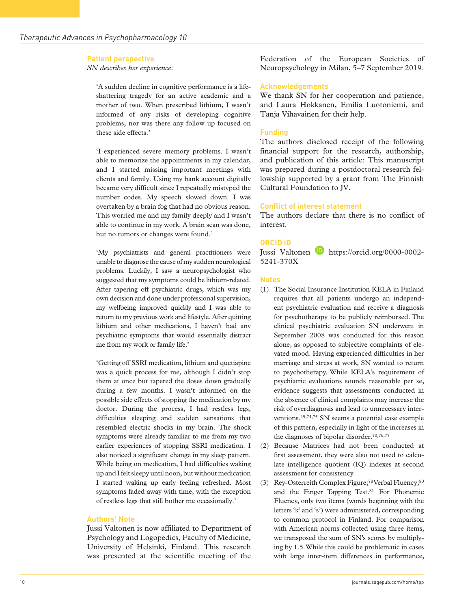#### **Patient perspective**

*SN describes her experience*:

'A sudden decline in cognitive performance is a lifeshattering tragedy for an active academic and a mother of two. When prescribed lithium, I wasn't informed of any risks of developing cognitive problems, nor was there any follow up focused on these side effects.'

'I experienced severe memory problems. I wasn't able to memorize the appointments in my calendar, and I started missing important meetings with clients and family. Using my bank account digitally became very difficult since I repeatedly mistyped the number codes. My speech slowed down. I was overtaken by a brain fog that had no obvious reason. This worried me and my family deeply and I wasn't able to continue in my work. A brain scan was done, but no tumors or changes were found.'

'My psychiatrists and general practitioners were unable to diagnose the cause of my sudden neurological problems. Luckily, I saw a neuropsychologist who suggested that my symptoms could be lithium-related. After tapering off psychiatric drugs, which was my own decision and done under professional supervision, my wellbeing improved quickly and I was able to return to my previous work and lifestyle. After quitting lithium and other medications, I haven't had any psychiatric symptoms that would essentially distract me from my work or family life.'

'Getting off SSRI medication, lithium and quetiapine was a quick process for me, although I didn't stop them at once but tapered the doses down gradually during a few months. I wasn't informed on the possible side effects of stopping the medication by my doctor. During the process, I had restless legs, difficulties sleeping and sudden sensations that resembled electric shocks in my brain. The shock symptoms were already familiar to me from my two earlier experiences of stopping SSRI medication. I also noticed a significant change in my sleep pattern. While being on medication, I had difficulties waking up and I felt sleepy until noon, but without medication I started waking up early feeling refreshed. Most symptoms faded away with time, with the exception of restless legs that still bother me occasionally.'

#### **Authors' Note**

Jussi Valtonen is now affiliated to Department of Psychology and Logopedics, Faculty of Medicine, University of Helsinki, Finland. This research was presented at the scientific meeting of the

Federation of the European Societies of Neuropsychology in Milan, 5–7 September 2019.

#### **Acknowledgements**

We thank SN for her cooperation and patience, and Laura Hokkanen, Emilia Luotoniemi, and Tanja Vihavainen for their help.

#### **Funding**

The authors disclosed receipt of the following financial support for the research, authorship, and publication of this article: This manuscript was prepared during a postdoctoral research fellowship supported by a grant from The Finnish Cultural Foundation to JV.

#### **Conflict of interest statement**

The authors declare that there is no conflict of interest.

## **ORCID iD**

Jussi Valtonen **b** [https://orcid.org/0000-0002-](https://orcid.org/0000-0002-5241-370X) [5241-370X](https://orcid.org/0000-0002-5241-370X)

#### **Notes**

- (1) The Social Insurance Institution KELA in Finland requires that all patients undergo an independent psychiatric evaluation and receive a diagnosis for psychotherapy to be publicly reimbursed. The clinical psychiatric evaluation SN underwent in September 2008 was conducted for this reason alone, as opposed to subjective complaints of elevated mood. Having experienced difficulties in her marriage and stress at work, SN wanted to return to psychotherapy. While KELA's requirement of psychiatric evaluations sounds reasonable per se, evidence suggests that assessments conducted in the absence of clinical complaints may increase the risk of overdiagnosis and lead to unnecessary interventions.49,74,75 SN seems a potential case example of this pattern, especially in light of the increases in the diagnoses of bipolar disorder.70,76,77
- (2) Because Matrices had not been conducted at first assessment, they were also not used to calculate intelligence quotient (IQ) indexes at second assessment for consistency.
- (3) Rey-Osterreith Complex Figure;<sup>78</sup> Verbal Fluency;<sup>80</sup> and the Finger Tapping Test.<sup>81</sup> For Phonemic Fluency, only two items (words beginning with the letters 'k' and 's') were administered, corresponding to common protocol in Finland. For comparison with American norms collected using three items, we transposed the sum of SN's scores by multiplying by 1.5. While this could be problematic in cases with large inter-item differences in performance,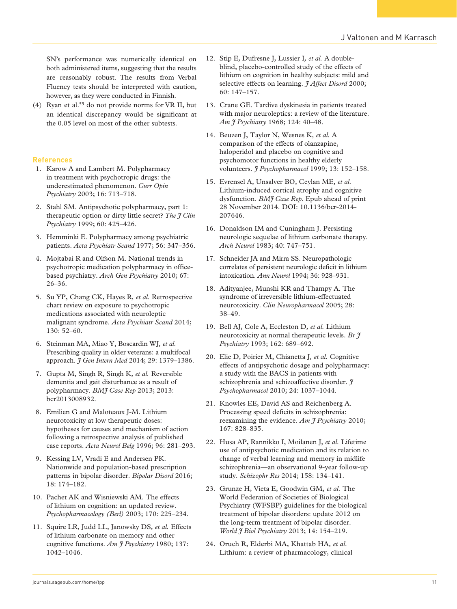SN's performance was numerically identical on both administered items, suggesting that the results are reasonably robust. The results from Verbal Fluency tests should be interpreted with caution, however, as they were conducted in Finnish.

(4) Ryan et al.55 do not provide norms for VR II, but an identical discrepancy would be significant at the 0.05 level on most of the other subtests.

#### **References**

- 1. Karow A and Lambert M. Polypharmacy in treatment with psychotropic drugs: the underestimated phenomenon. *Curr Opin Psychiatry* 2003; 16: 713–718.
- 2. Stahl SM. Antipsychotic polypharmacy, part 1: therapeutic option or dirty little secret? *The J Clin Psychiatry* 1999; 60: 425–426.
- 3. Hemminki E. Polypharmacy among psychiatric patients. *Acta Psychiatr Scand* 1977; 56: 347–356.
- 4. Mojtabai R and Olfson M. National trends in psychotropic medication polypharmacy in officebased psychiatry. *Arch Gen Psychiatry* 2010; 67: 26–36.
- 5. Su YP, Chang CK, Hayes R*, et al.* Retrospective chart review on exposure to psychotropic medications associated with neuroleptic malignant syndrome. *Acta Psychiatr Scand* 2014; 130: 52–60.
- 6. Steinman MA, Miao Y, Boscardin WJ*, et al.* Prescribing quality in older veterans: a multifocal approach. *J Gen Intern Med* 2014; 29: 1379–1386.
- 7. Gupta M, Singh R, Singh K*, et al.* Reversible dementia and gait disturbance as a result of polypharmacy. *BMJ Case Rep* 2013; 2013: bcr2013008932.
- 8. Emilien G and Maloteaux J-M. Lithium neurotoxicity at low therapeutic doses: hypotheses for causes and mechanism of action following a retrospective analysis of published case reports. *Acta Neurol Belg* 1996; 96: 281–293.
- 9. Kessing LV, Vradi E and Andersen PK. Nationwide and population-based prescription patterns in bipolar disorder. *Bipolar Disord* 2016; 18: 174–182.
- 10. Pachet AK and Wisniewski AM. The effects of lithium on cognition: an updated review. *Psychopharmacology (Berl)* 2003; 170: 225–234.
- 11. Squire LR, Judd LL, Janowsky DS*, et al.* Effects of lithium carbonate on memory and other cognitive functions. *Am J Psychiatry* 1980; 137: 1042–1046.
- 12. Stip E, Dufresne J, Lussier I*, et al.* A doubleblind, placebo-controlled study of the effects of lithium on cognition in healthy subjects: mild and selective effects on learning. *I Affect Disord* 2000; 60: 147–157.
- 13. Crane GE. Tardive dyskinesia in patients treated with major neuroleptics: a review of the literature. *Am J Psychiatry* 1968; 124: 40–48.
- 14. Beuzen J, Taylor N, Wesnes K*, et al.* A comparison of the effects of olanzapine, haloperidol and placebo on cognitive and psychomotor functions in healthy elderly volunteers. *J Psychopharmacol* 1999; 13: 152–158.
- 15. Evrensel A, Unsalver BO, Ceylan ME*, et al.* Lithium-induced cortical atrophy and cognitive dysfunction. *BMJ Case Rep*. Epub ahead of print 28 November 2014. DOI: 10.1136/bcr-2014- 207646.
- 16. Donaldson IM and Cuningham J. Persisting neurologic sequelae of lithium carbonate therapy. *Arch Neurol* 1983; 40: 747–751.
- 17. Schneider JA and Mirra SS. Neuropathologic correlates of persistent neurologic deficit in lithium intoxication. *Ann Neurol* 1994; 36: 928–931.
- 18. Adityanjee, Munshi KR and Thampy A. The syndrome of irreversible lithium-effectuated neurotoxicity. *Clin Neuropharmacol* 2005; 28: 38–49.
- 19. Bell AJ, Cole A, Eccleston D*, et al.* Lithium neurotoxicity at normal therapeutic levels. *Br J Psychiatry* 1993; 162: 689–692.
- 20. Elie D, Poirier M, Chianetta J*, et al.* Cognitive effects of antipsychotic dosage and polypharmacy: a study with the BACS in patients with schizophrenia and schizoaffective disorder. *J Psychopharmacol* 2010; 24: 1037–1044.
- 21. Knowles EE, David AS and Reichenberg A. Processing speed deficits in schizophrenia: reexamining the evidence. *Am J Psychiatry* 2010; 167: 828–835.
- 22. Husa AP, Rannikko I, Moilanen J*, et al.* Lifetime use of antipsychotic medication and its relation to change of verbal learning and memory in midlife schizophrenia—an observational 9-year follow-up study. *Schizophr Res* 2014; 158: 134–141.
- 23. Grunze H, Vieta E, Goodwin GM*, et al.* The World Federation of Societies of Biological Psychiatry (WFSBP) guidelines for the biological treatment of bipolar disorders: update 2012 on the long-term treatment of bipolar disorder. *World J Biol Psychiatry* 2013; 14: 154–219.
- 24. Oruch R, Elderbi MA, Khattab HA*, et al.* Lithium: a review of pharmacology, clinical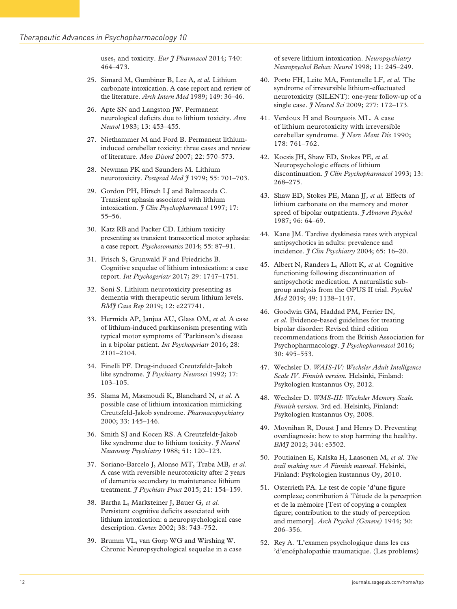uses, and toxicity. *Eur J Pharmacol* 2014; 740: 464–473.

- 25. Simard M, Gumbiner B, Lee A*, et al.* Lithium carbonate intoxication. A case report and review of the literature. *Arch Intern Med* 1989; 149: 36–46.
- 26. Apte SN and Langston JW. Permanent neurological deficits due to lithium toxicity. *Ann Neurol* 1983; 13: 453–455.
- 27. Niethammer M and Ford B. Permanent lithiuminduced cerebellar toxicity: three cases and review of literature. *Mov Disord* 2007; 22: 570–573.
- 28. Newman PK and Saunders M. Lithium neurotoxicity. *Postgrad Med J* 1979; 55: 701–703.
- 29. Gordon PH, Hirsch LJ and Balmaceda C. Transient aphasia associated with lithium intoxication. *J Clin Psychopharmacol* 1997; 17: 55–56.
- 30. Katz RB and Packer CD. Lithium toxicity presenting as transient transcortical motor aphasia: a case report. *Psychosomatics* 2014; 55: 87–91.
- 31. Frisch S, Grunwald F and Friedrichs B. Cognitive sequelae of lithium intoxication: a case report. *Int Psychogeriatr* 2017; 29: 1747–1751.
- 32. Soni S. Lithium neurotoxicity presenting as dementia with therapeutic serum lithium levels. *BMJ Case Rep* 2019; 12: e227741.
- 33. Hermida AP, Janjua AU, Glass OM*, et al.* A case of lithium-induced parkinsonism presenting with typical motor symptoms of 'Parkinson's disease in a bipolar patient. *Int Psychogeriatr* 2016; 28: 2101–2104.
- 34. Finelli PF. Drug-induced Creutzfeldt-Jakob like syndrome. *J Psychiatry Neurosci* 1992; 17: 103–105.
- 35. Slama M, Masmoudi K, Blanchard N*, et al.* A possible case of lithium intoxication mimicking Creutzfeld-Jakob syndrome. *Pharmacopsychiatry* 2000; 33: 145–146.
- 36. Smith SJ and Kocen RS. A Creutzfeldt-Jakob like syndrome due to lithium toxicity. *J Neurol Neurosurg Psychiatry* 1988; 51: 120–123.
- 37. Soriano-Barcelo J, Alonso MT, Traba MB*, et al.* A case with reversible neurotoxicity after 2 years of dementia secondary to maintenance lithium treatment. *J Psychiatr Pract* 2015; 21: 154–159.
- 38. Bartha L, Marksteiner J, Bauer G*, et al.* Persistent cognitive deficits associated with lithium intoxication: a neuropsychological case description. *Cortex* 2002; 38: 743–752.
- 39. Brumm VL, van Gorp WG and Wirshing W. Chronic Neuropsychological sequelae in a case

of severe lithium intoxication. *Neuropsychiatry Neuropsychol Behav Neurol* 1998; 11: 245–249.

- 40. Porto FH, Leite MA, Fontenelle LF*, et al.* The syndrome of irreversible lithium-effectuated neurotoxicity (SILENT): one-year follow-up of a single case. *J Neurol Sci* 2009; 277: 172–173.
- 41. Verdoux H and Bourgeois ML. A case of lithium neurotoxicity with irreversible cerebellar syndrome. *J Nerv Ment Dis* 1990; 178: 761–762.
- 42. Kocsis JH, Shaw ED, Stokes PE*, et al.* Neuropsychologic effects of lithium discontinuation. *J Clin Psychopharmacol* 1993; 13: 268–275.
- 43. Shaw ED, Stokes PE, Mann JJ*, et al.* Effects of lithium carbonate on the memory and motor speed of bipolar outpatients. *J Abnorm Psychol* 1987; 96: 64–69.
- 44. Kane JM. Tardive dyskinesia rates with atypical antipsychotics in adults: prevalence and incidence. *J Clin Psychiatry* 2004; 65: 16–20.
- 45. Albert N, Randers L, Allott K*, et al.* Cognitive functioning following discontinuation of antipsychotic medication. A naturalistic subgroup analysis from the OPUS II trial. *Psychol Med* 2019; 49: 1138–1147.
- 46. Goodwin GM, Haddad PM, Ferrier IN*, et al.* Evidence-based guidelines for treating bipolar disorder: Revised third edition recommendations from the British Association for Psychopharmacology. *J Psychopharmacol* 2016; 30: 495–553.
- 47. Wechsler D. *WAIS-IV: Wechsler Adult Intelligence Scale IV*. *Finnish version.* Helsinki, Finland: Psykologien kustannus Oy, 2012.
- 48. Wechsler D. *WMS-III: Wechsler Memory Scale. Finnish version*. 3rd ed. Helsinki, Finland: Psykologien kustannus Oy, 2008.
- 49. Moynihan R, Doust J and Henry D. Preventing overdiagnosis: how to stop harming the healthy. *BMJ* 2012; 344: e3502.
- 50. Poutiainen E, Kalska H, Laasonen M*, et al. The trail making test: A Finnish manual*. Helsinki, Finland: Psykologien kustannus Oy, 2010.
- 51. Osterrieth PA. Le test de copie 'd'une figure complexe; contribution à 'l'étude de la perception et de la mémoire [Test of copying a complex figure; contribution to the study of perception and memory]. *Arch Psychol (Geneve)* 1944; 30: 206–356.
- 52. Rey A. 'L'examen psychologique dans les cas 'd'encéphalopathie traumatique. (Les problems)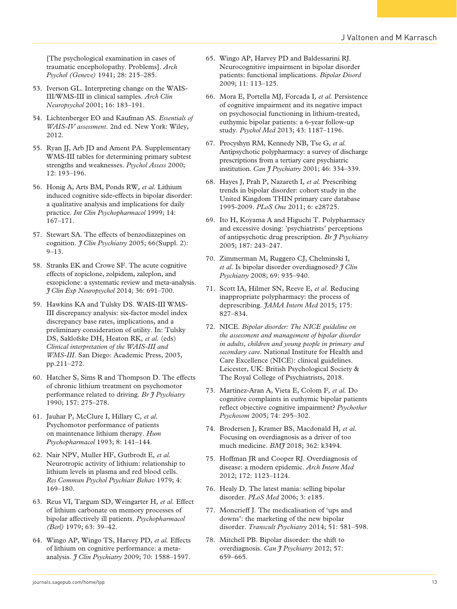[The psychological examination in cases of traumatic encepholopathy. Problems]. *Arch Psychol (Geneve)* 1941; 28: 215–285.

- 53. Iverson GL. Interpreting change on the WAIS-III/WMS-III in clinical samples. *Arch Clin Neuropsychol* 2001; 16: 183–191.
- 54. Lichtenberger EO and Kaufman AS. *Essentials of WAIS-IV assessment*. 2nd ed. New York: Wiley, 2012.
- 55. Ryan II, Arb ID and Ament PA. Supplementary WMS-III tables for determining primary subtest strengths and weaknesses. *Psychol Assess* 2000; 12: 193–196.
- 56. Honig A, Arts BM, Ponds RW*, et al.* Lithium induced cognitive side-effects in bipolar disorder: a qualitative analysis and implications for daily practice. *Int Clin Psychopharmacol* 1999; 14: 167–171.
- 57. Stewart SA. The effects of benzodiazepines on cognition. *J Clin Psychiatry* 2005; 66(Suppl. 2): 9–13.
- 58. Stranks EK and Crowe SF. The acute cognitive effects of zopiclone, zolpidem, zaleplon, and eszopiclone: a systematic review and meta-analysis. *J Clin Exp Neuropsychol* 2014; 36: 691–700.
- 59. Hawkins KA and Tulsky DS. WAIS-III WMS-III discrepancy analysis: six-factor model index discrepancy base rates, implications, and a preliminary consideration of utility. In: Tulsky DS, Saklofske DH, Heaton RK*, et al.* (eds) *Clinical interpretation of the WAIS-III and WMS-III*. San Diego: Academic Press, 2003, pp.211–272.
- 60. Hatcher S, Sims R and Thompson D. The effects of chronic lithium treatment on psychomotor performance related to driving. *Br J Psychiatry* 1990; 157: 275–278.
- 61. Jauhar P, McClure I, Hillary C*, et al.* Psychomotor performance of patients on maintenance lithium therapy. *Hum Psychopharmacol* 1993; 8: 141–144.
- 62. Nair NPV, Muller HF, Gutbrodt E*, et al.* Neurotropic activity of lithium: relationship to lithium levels in plasma and red blood cells. *Res Commun Psychol Psychiatr Behav* 1979; 4: 169–180.
- 63. Reus VI, Targum SD, Weingarter H*, et al.* Effect of lithium carbonate on memory processes of bipolar affectively ill patients. *Psychopharmacol (Berl)* 1979; 63: 39–42.
- 64. Wingo AP, Wingo TS, Harvey PD*, et al.* Effects of lithium on cognitive performance: a metaanalysis. *J Clin Psychiatry* 2009; 70: 1588–1597.
- 65. Wingo AP, Harvey PD and Baldessarini RJ. Neurocognitive impairment in bipolar disorder patients: functional implications. *Bipolar Disord* 2009; 11: 113–125.
- 66. Mora E, Portella MJ, Forcada I*, et al.* Persistence of cognitive impairment and its negative impact on psychosocial functioning in lithium-treated, euthymic bipolar patients: a 6-year follow-up study. *Psychol Med* 2013; 43: 1187–1196.
- 67. Procyshyn RM, Kennedy NB, Tse G*, et al.* Antipsychotic polypharmacy: a survey of discharge prescriptions from a tertiary care psychiatric institution. *Can J Psychiatry* 2001; 46: 334–339.
- 68. Hayes J, Prah P, Nazareth I*, et al.* Prescribing trends in bipolar disorder: cohort study in the United Kingdom THIN primary care database 1995-2009. *PLoS One* 2011; 6: e28725.
- 69. Ito H, Koyama A and Higuchi T. Polypharmacy and excessive dosing: 'psychiatrists' perceptions of antipsychotic drug prescription. *Br J Psychiatry* 2005; 187: 243–247.
- 70. Zimmerman M, Ruggero CJ, Chelminski I*, et al.* Is bipolar disorder overdiagnosed? *J Clin Psychiatry* 2008; 69: 935–940.
- 71. Scott IA, Hilmer SN, Reeve E*, et al.* Reducing inappropriate polypharmacy: the process of deprescribing. *JAMA Intern Med* 2015; 175: 827–834.
- 72. NICE. *Bipolar disorder: The NICE guideline on the assessment and management of bipolar disorder in adults, children and young people in primary and secondary care*. National Institute for Health and Care Excellence (NICE): clinical guidelines. Leicester, UK: British Psychological Society & The Royal College of Psychiatrists, 2018.
- 73. Martinez-Aran A, Vieta E, Colom F*, et al.* Do cognitive complaints in euthymic bipolar patients reflect objective cognitive impairment? *Psychother Psychosom* 2005; 74: 295–302.
- 74. Brodersen J, Kramer BS, Macdonald H*, et al.* Focusing on overdiagnosis as a driver of too much medicine. *BMJ* 2018; 362: k3494.
- 75. Hoffman JR and Cooper RJ. Overdiagnosis of disease: a modern epidemic. *Arch Intern Med* 2012; 172: 1123–1124.
- 76. Healy D. The latest mania: selling bipolar disorder. *PLoS Med* 2006; 3: e185.
- 77. Moncrieff J. The medicalisation of 'ups and downs': the marketing of the new bipolar disorder. *Transcult Psychiatry* 2014; 51: 581–598.
- 78. Mitchell PB. Bipolar disorder: the shift to overdiagnosis. *Can J Psychiatry* 2012; 57: 659–665.